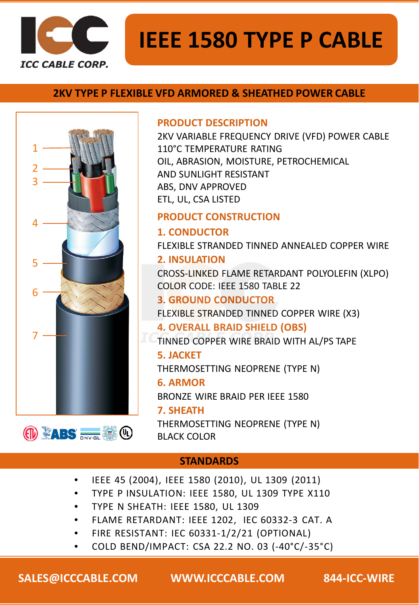

# **IEEE 1580 TYPE P CABLE**

### **2KV TYPE P FLEXIBLE VFD ARMORED & SHEATHED POWER CABLE**





2KV VARIABLE FREQUENCY DRIVE (VFD) POWER CABLE 110°C TEMPERATURE RATING OIL, ABRASION, MOISTURE, PETROCHEMICAL AND SUNLIGHT RESISTANT ABS, DNV APPROVED ETL, UL, CSA LISTED

## **PRODUCT CONSTRUCTION**

**1. CONDUCTOR** FLEXIBLE STRANDED TINNED ANNEALED COPPER WIRE **2. INSULATION**

CROSS-LINKED FLAME RETARDANT POLYOLEFIN (XLPO) COLOR CODE: IEEE 1580 TABLE 22

# **3. GROUND CONDUCTOR**

FLEXIBLE STRANDED TINNED COPPER WIRE (X3)

**4. OVERALL BRAID SHIELD (OBS)** TINNED COPPER WIRE BRAID WITH AL/PS TAPE

### **5. JACKET**

THERMOSETTING NEOPRENE (TYPE N)

#### **6. ARMOR**

BRONZE WIRE BRAID PER IEEE 1580

#### **7. SHEATH**

THERMOSETTING NEOPRENE (TYPE N) BLACK COLOR

# **STANDARDS**

- IEEE 45 (2004), IEEE 1580 (2010), UL 1309 (2011)
- TYPE P INSULATION: IEEE 1580, UL 1309 TYPE X110
- TYPE N SHEATH: IEEE 1580, UL 1309
- FLAME RETARDANT: IEEE 1202, IEC 60332-3 CAT. A
- FIRE RESISTANT: IEC 60331-1/2/21 (OPTIONAL)
- COLD BEND/IMPACT: CSA 22.2 NO. 03 (-40°C/-35°C)

**SALES@ICCCABLE.COM WWW.ICCCABLE.COM 844-ICC-WIRE**